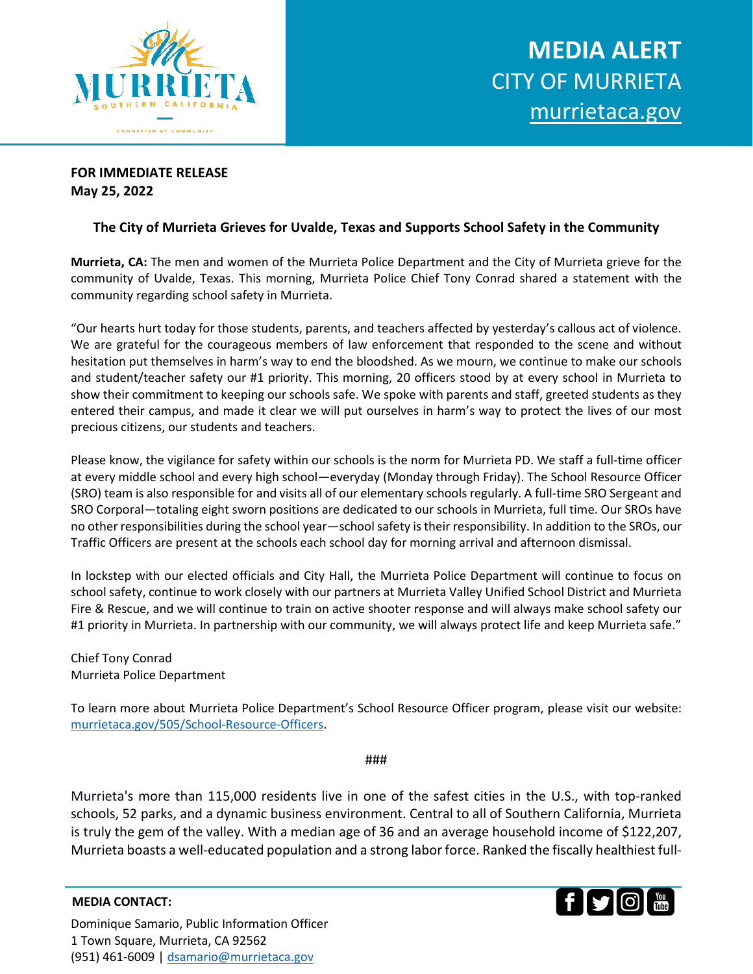

## **FOR IMMEDIATE RELEASE May 25, 2022**

## **The City of Murrieta Grieves for Uvalde, Texas and Supports School Safety in the Community**

**Murrieta, CA:** The men and women of the Murrieta Police Department and the City of Murrieta grieve for the community of Uvalde, Texas. This morning, Murrieta Police Chief Tony Conrad shared a statement with the community regarding school safety in Murrieta.

"Our hearts hurt today for those students, parents, and teachers affected by yesterday's callous act of violence. We are grateful for the courageous members of law enforcement that responded to the scene and without hesitation put themselves in harm's way to end the bloodshed. As we mourn, we continue to make our schools and student/teacher safety our #1 priority. This morning, 20 officers stood by at every school in Murrieta to show their commitment to keeping our schools safe. We spoke with parents and staff, greeted students as they entered their campus, and made it clear we will put ourselves in harm's way to protect the lives of our most precious citizens, our students and teachers.

Please know, the vigilance for safety within our schools is the norm for Murrieta PD. We staff a full-time officer at every middle school and every high school—everyday (Monday through Friday). The School Resource Officer (SRO) team is also responsible for and visits all of our elementary schools regularly. A full-time SRO Sergeant and SRO Corporal—totaling eight sworn positions are dedicated to our schools in Murrieta, full time. Our SROs have no other responsibilities during the school year—school safety is their responsibility. In addition to the SROs, our Traffic Officers are present at the schools each school day for morning arrival and afternoon dismissal.

In lockstep with our elected officials and City Hall, the Murrieta Police Department will continue to focus on school safety, continue to work closely with our partners at Murrieta Valley Unified School District and Murrieta Fire & Rescue, and we will continue to train on active shooter response and will always make school safety our #1 priority in Murrieta. In partnership with our community, we will always protect life and keep Murrieta safe."

Chief Tony Conrad Murrieta Police Department

To learn more about Murrieta Police Department's School Resource Officer program, please visit our website: [murrietaca.gov/505/School-Resource-Officers.](https://www.murrietaca.gov/505/School-Resource-Officers)

## ###

Murrieta's more than 115,000 residents live in one of the safest cities in the U.S., with top-ranked schools, 52 parks, and a dynamic business environment. Central to all of Southern California, Murrieta is truly the gem of the valley. With a median age of 36 and an average household income of \$122,207, Murrieta boasts a well-educated population and a strong labor force. Ranked the fiscally healthiest full-

## **MEDIA CONTACT:**



Dominique Samario, Public Information Officer 1 Town Square, Murrieta, CA 92562 (951) 461-6009 | [dsamario@murrietaca.gov](mailto:dsamario@murrietaca.gov)